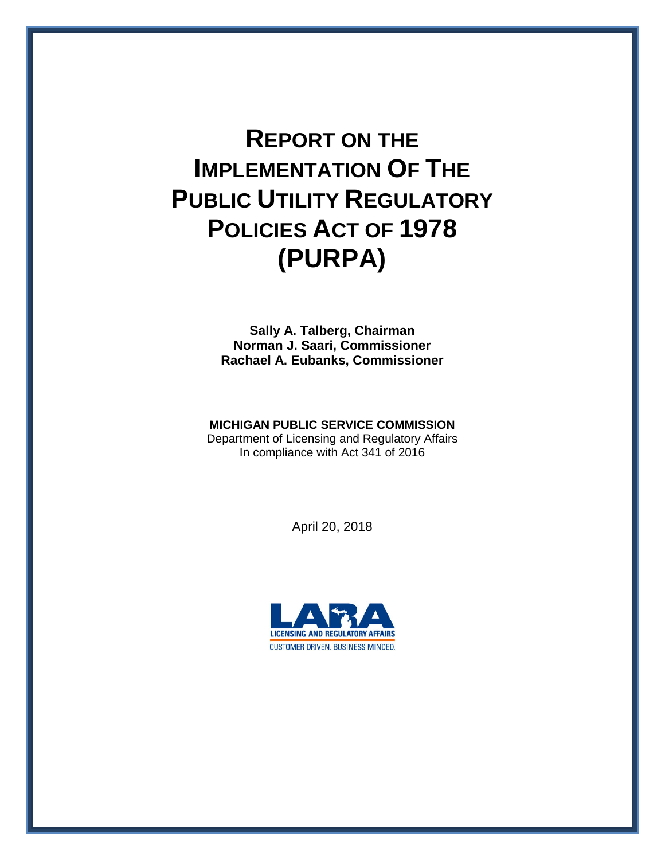# **REPORT ON THE IMPLEMENTATION OF THE PUBLIC UTILITY REGULATORY POLICIES ACT OF 1978 (PURPA)**

**Sally A. Talberg, Chairman Norman J. Saari, Commissioner Rachael A. Eubanks, Commissioner**

#### **MICHIGAN PUBLIC SERVICE COMMISSION**

Department of Licensing and Regulatory Affairs In compliance with Act 341 of 2016

April 20, 2018

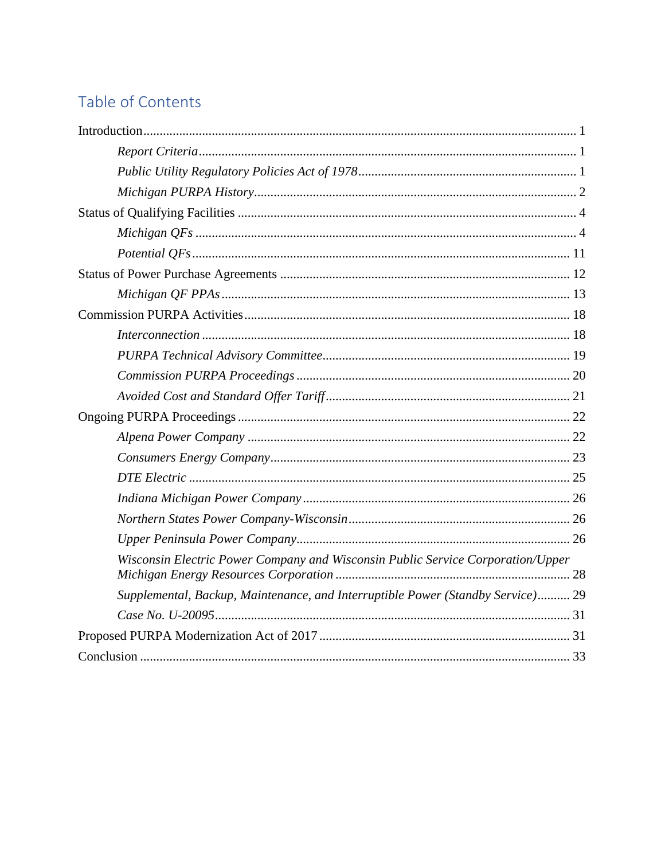# Table of Contents

| Wisconsin Electric Power Company and Wisconsin Public Service Corporation/Upper |
|---------------------------------------------------------------------------------|
| Supplemental, Backup, Maintenance, and Interruptible Power (Standby Service) 29 |
|                                                                                 |
|                                                                                 |
|                                                                                 |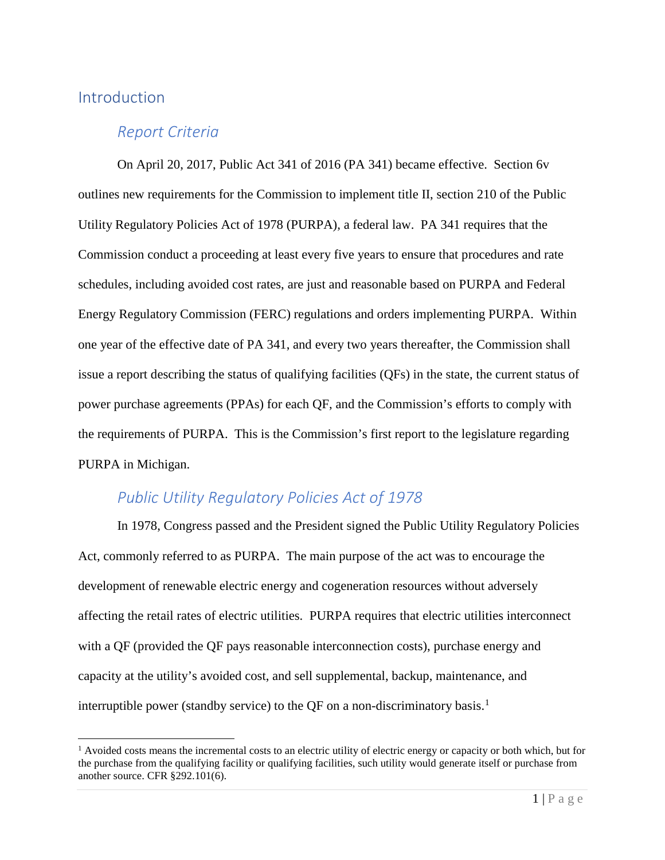#### <span id="page-2-0"></span>**Introduction**

#### <span id="page-2-1"></span>*Report Criteria*

On April 20, 2017, Public Act 341 of 2016 (PA 341) became effective. Section 6v outlines new requirements for the Commission to implement title II, section 210 of the Public Utility Regulatory Policies Act of 1978 (PURPA), a federal law. PA 341 requires that the Commission conduct a proceeding at least every five years to ensure that procedures and rate schedules, including avoided cost rates, are just and reasonable based on PURPA and Federal Energy Regulatory Commission (FERC) regulations and orders implementing PURPA. Within one year of the effective date of PA 341, and every two years thereafter, the Commission shall issue a report describing the status of qualifying facilities (QFs) in the state, the current status of power purchase agreements (PPAs) for each QF, and the Commission's efforts to comply with the requirements of PURPA. This is the Commission's first report to the legislature regarding PURPA in Michigan.

## <span id="page-2-2"></span>*Public Utility Regulatory Policies Act of 1978*

In 1978, Congress passed and the President signed the Public Utility Regulatory Policies Act, commonly referred to as PURPA. The main purpose of the act was to encourage the development of renewable electric energy and cogeneration resources without adversely affecting the retail rates of electric utilities. PURPA requires that electric utilities interconnect with a QF (provided the QF pays reasonable interconnection costs), purchase energy and capacity at the utility's avoided cost, and sell supplemental, backup, maintenance, and interruptible power (standby service) to the QF on a non-discriminatory basis.<sup>[1](#page-2-3)</sup>

<span id="page-2-3"></span> $<sup>1</sup>$  Avoided costs means the incremental costs to an electric utility of electric energy or capacity or both which, but for</sup> the purchase from the qualifying facility or qualifying facilities, such utility would generate itself or purchase from another source. CFR §292.101(6).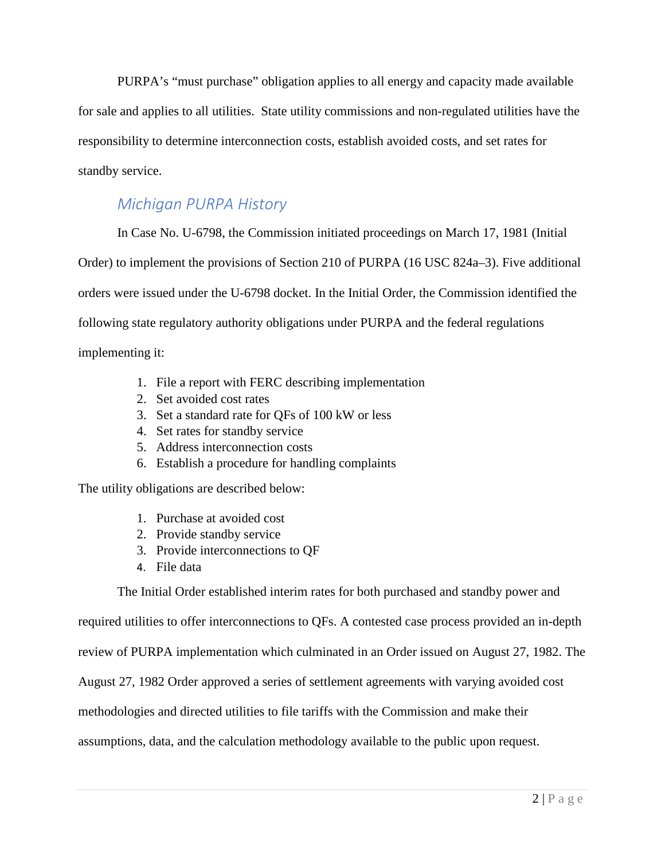PURPA's "must purchase" obligation applies to all energy and capacity made available for sale and applies to all utilities. State utility commissions and non-regulated utilities have the responsibility to determine interconnection costs, establish avoided costs, and set rates for standby service.

## <span id="page-3-0"></span>*Michigan PURPA History*

In Case No. U-6798, the Commission initiated proceedings on March 17, 1981 (Initial Order) to implement the provisions of Section 210 of PURPA (16 USC 824a–3). Five additional orders were issued under the U-6798 docket. In the Initial Order, the Commission identified the following state regulatory authority obligations under PURPA and the federal regulations implementing it:

- 1. File a report with FERC describing implementation
- 2. Set avoided cost rates
- 3. Set a standard rate for QFs of 100 kW or less
- 4. Set rates for standby service
- 5. Address interconnection costs
- 6. Establish a procedure for handling complaints

The utility obligations are described below:

- 1. Purchase at avoided cost
- 2. Provide standby service
- 3. Provide interconnections to QF
- 4. File data

The Initial Order established interim rates for both purchased and standby power and

required utilities to offer interconnections to QFs. A contested case process provided an in-depth review of PURPA implementation which culminated in an Order issued on August 27, 1982. The August 27, 1982 Order approved a series of settlement agreements with varying avoided cost methodologies and directed utilities to file tariffs with the Commission and make their assumptions, data, and the calculation methodology available to the public upon request.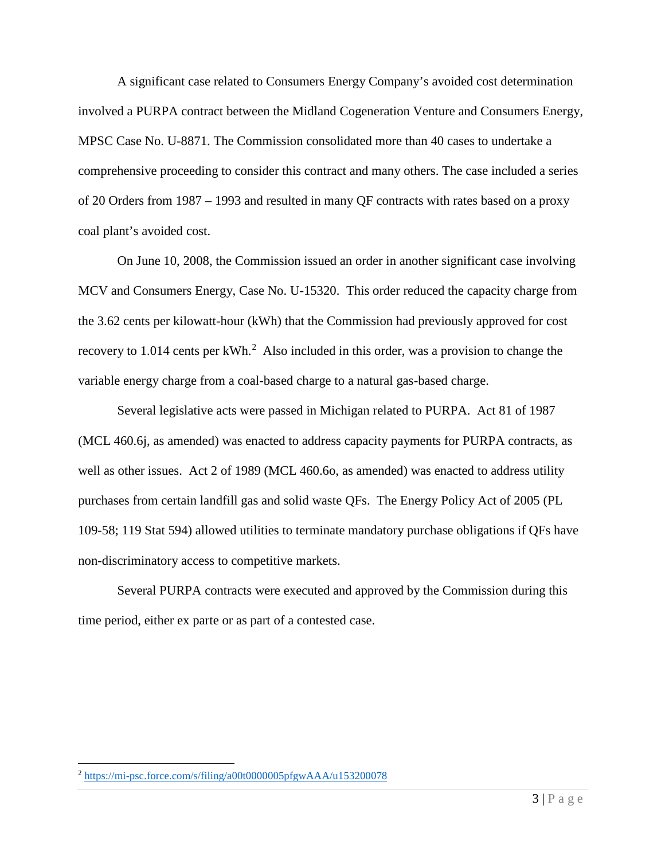A significant case related to Consumers Energy Company's avoided cost determination involved a PURPA contract between the Midland Cogeneration Venture and Consumers Energy, MPSC Case No. U-8871. The Commission consolidated more than 40 cases to undertake a comprehensive proceeding to consider this contract and many others. The case included a series of 20 Orders from 1987 – 1993 and resulted in many QF contracts with rates based on a proxy coal plant's avoided cost.

On June 10, 2008, the Commission issued an order in another significant case involving MCV and Consumers Energy, Case No. U-15320. This order reduced the capacity charge from the 3.62 cents per kilowatt-hour (kWh) that the Commission had previously approved for cost recovery to 1.014 cents per  $kWh<sup>2</sup>$  $kWh<sup>2</sup>$  $kWh<sup>2</sup>$  Also included in this order, was a provision to change the variable energy charge from a coal-based charge to a natural gas-based charge.

Several legislative acts were passed in Michigan related to PURPA. Act 81 of 1987 (MCL 460.6j, as amended) was enacted to address capacity payments for PURPA contracts, as well as other issues. Act 2 of 1989 (MCL 460.60, as amended) was enacted to address utility purchases from certain landfill gas and solid waste QFs. The Energy Policy Act of 2005 (PL 109-58; 119 Stat 594) allowed utilities to terminate mandatory purchase obligations if QFs have non-discriminatory access to competitive markets.

Several PURPA contracts were executed and approved by the Commission during this time period, either ex parte or as part of a contested case.

<span id="page-4-0"></span> <sup>2</sup> <https://mi-psc.force.com/s/filing/a00t0000005pfgwAAA/u153200078>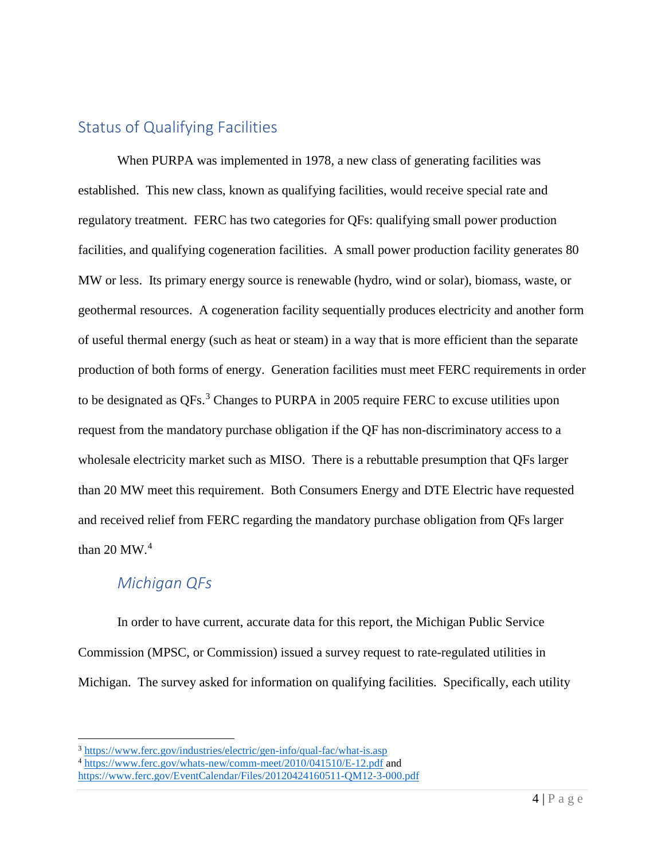## <span id="page-5-0"></span>Status of Qualifying Facilities

When PURPA was implemented in 1978, a new class of generating facilities was established. This new class, known as qualifying facilities, would receive special rate and regulatory treatment. FERC has two categories for QFs: qualifying small power production facilities, and qualifying cogeneration facilities. A small power production facility generates 80 MW or less. Its primary energy source is renewable (hydro, wind or solar), biomass, waste, or geothermal resources. A cogeneration facility sequentially produces electricity and another form of useful thermal energy (such as heat or steam) in a way that is more efficient than the separate production of both forms of energy. Generation facilities must meet FERC requirements in order to be designated as QFs.<sup>[3](#page-5-2)</sup> Changes to PURPA in 2005 require FERC to excuse utilities upon request from the mandatory purchase obligation if the QF has non-discriminatory access to a wholesale electricity market such as MISO. There is a rebuttable presumption that QFs larger than 20 MW meet this requirement. Both Consumers Energy and DTE Electric have requested and received relief from FERC regarding the mandatory purchase obligation from QFs larger than 20 MW. $4$ 

## <span id="page-5-1"></span>*Michigan QFs*

In order to have current, accurate data for this report, the Michigan Public Service Commission (MPSC, or Commission) issued a survey request to rate-regulated utilities in Michigan. The survey asked for information on qualifying facilities. Specifically, each utility

<span id="page-5-2"></span> <sup>3</sup> <https://www.ferc.gov/industries/electric/gen-info/qual-fac/what-is.asp>

<span id="page-5-3"></span><sup>&</sup>lt;sup>4</sup> <https://www.ferc.gov/whats-new/comm-meet/2010/041510/E-12.pdf> and

<https://www.ferc.gov/EventCalendar/Files/20120424160511-QM12-3-000.pdf>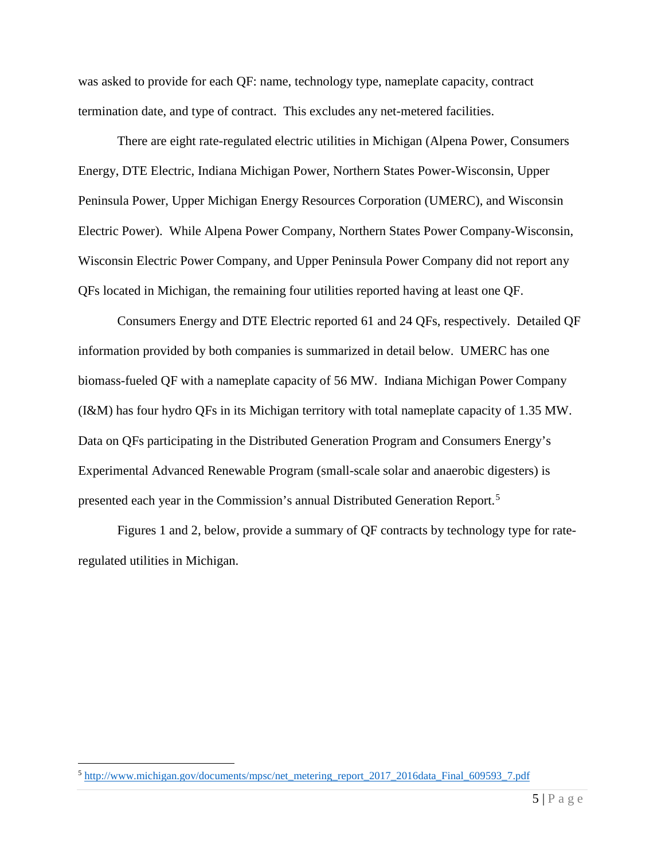was asked to provide for each QF: name, technology type, nameplate capacity, contract termination date, and type of contract. This excludes any net-metered facilities.

There are eight rate-regulated electric utilities in Michigan (Alpena Power, Consumers Energy, DTE Electric, Indiana Michigan Power, Northern States Power-Wisconsin, Upper Peninsula Power, Upper Michigan Energy Resources Corporation (UMERC), and Wisconsin Electric Power). While Alpena Power Company, Northern States Power Company-Wisconsin, Wisconsin Electric Power Company, and Upper Peninsula Power Company did not report any QFs located in Michigan, the remaining four utilities reported having at least one QF.

Consumers Energy and DTE Electric reported 61 and 24 QFs, respectively. Detailed QF information provided by both companies is summarized in detail below. UMERC has one biomass-fueled QF with a nameplate capacity of 56 MW. Indiana Michigan Power Company (I&M) has four hydro QFs in its Michigan territory with total nameplate capacity of 1.35 MW. Data on QFs participating in the Distributed Generation Program and Consumers Energy's Experimental Advanced Renewable Program (small-scale solar and anaerobic digesters) is presented each year in the Commission's annual Distributed Generation Report.<sup>[5](#page-6-0)</sup>

Figures 1 and 2, below, provide a summary of QF contracts by technology type for rateregulated utilities in Michigan.

<span id="page-6-0"></span> <sup>5</sup> [http://www.michigan.gov/documents/mpsc/net\\_metering\\_report\\_2017\\_2016data\\_Final\\_609593\\_7.pdf](http://www.michigan.gov/documents/mpsc/net_metering_report_2017_2016data_Final_609593_7.pdf)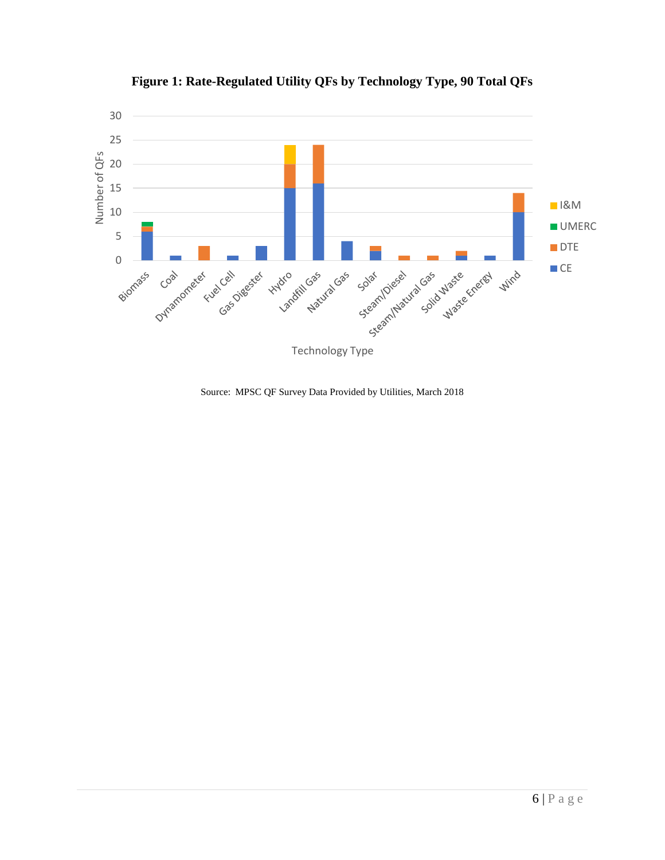

**Figure 1: Rate-Regulated Utility QFs by Technology Type, 90 Total QFs**

Source: MPSC QF Survey Data Provided by Utilities, March 2018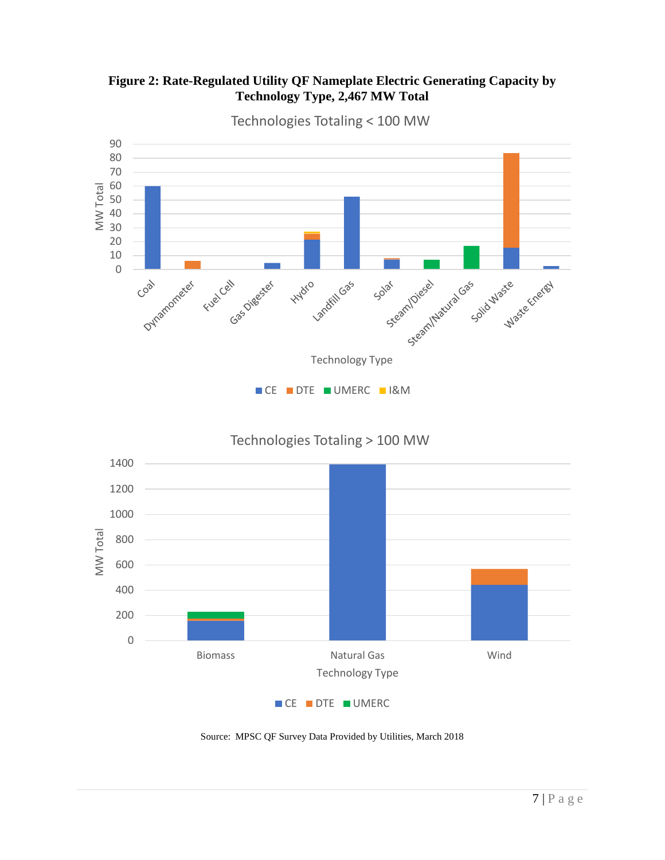



Technologies Totaling < 100 MW

CE DTE UMERC

Technology Type

Source: MPSC QF Survey Data Provided by Utilities, March 2018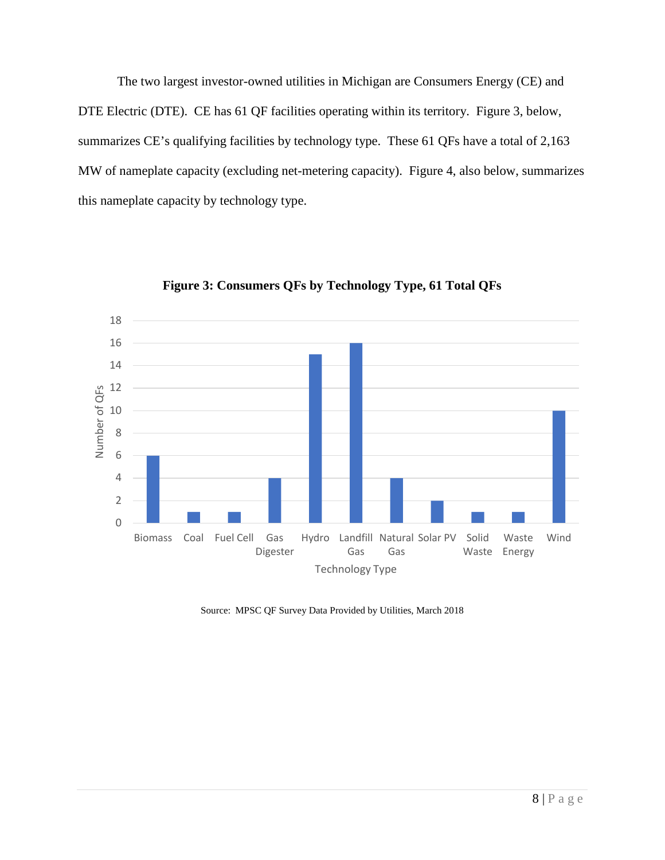The two largest investor-owned utilities in Michigan are Consumers Energy (CE) and DTE Electric (DTE). CE has 61 QF facilities operating within its territory. Figure 3, below, summarizes CE's qualifying facilities by technology type. These 61 QFs have a total of 2,163 MW of nameplate capacity (excluding net-metering capacity). Figure 4, also below, summarizes this nameplate capacity by technology type.



**Figure 3: Consumers QFs by Technology Type, 61 Total QFs**

Source: MPSC QF Survey Data Provided by Utilities, March 2018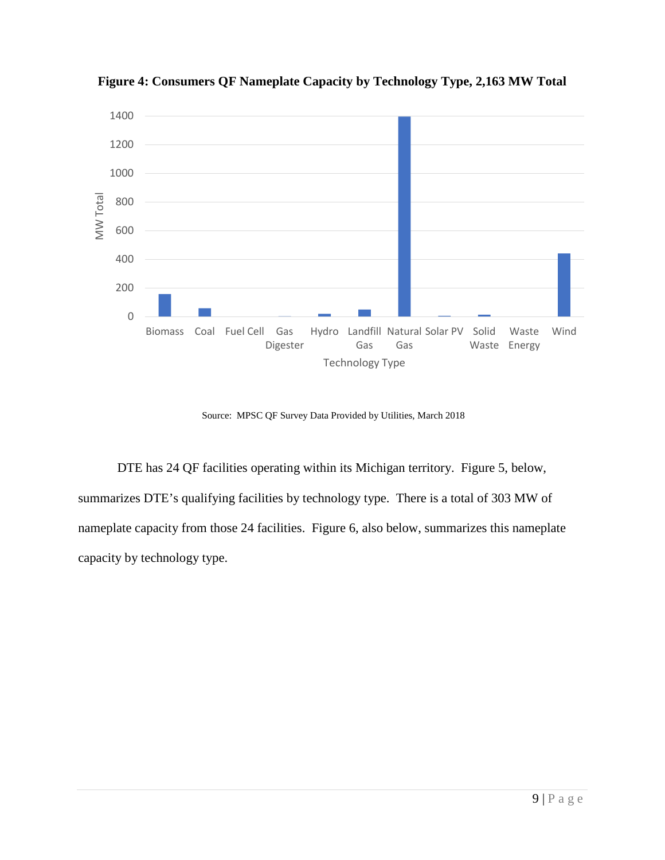

**Figure 4: Consumers QF Nameplate Capacity by Technology Type, 2,163 MW Total**

Source: MPSC QF Survey Data Provided by Utilities, March 2018

DTE has 24 QF facilities operating within its Michigan territory. Figure 5, below, summarizes DTE's qualifying facilities by technology type. There is a total of 303 MW of nameplate capacity from those 24 facilities. Figure 6, also below, summarizes this nameplate capacity by technology type.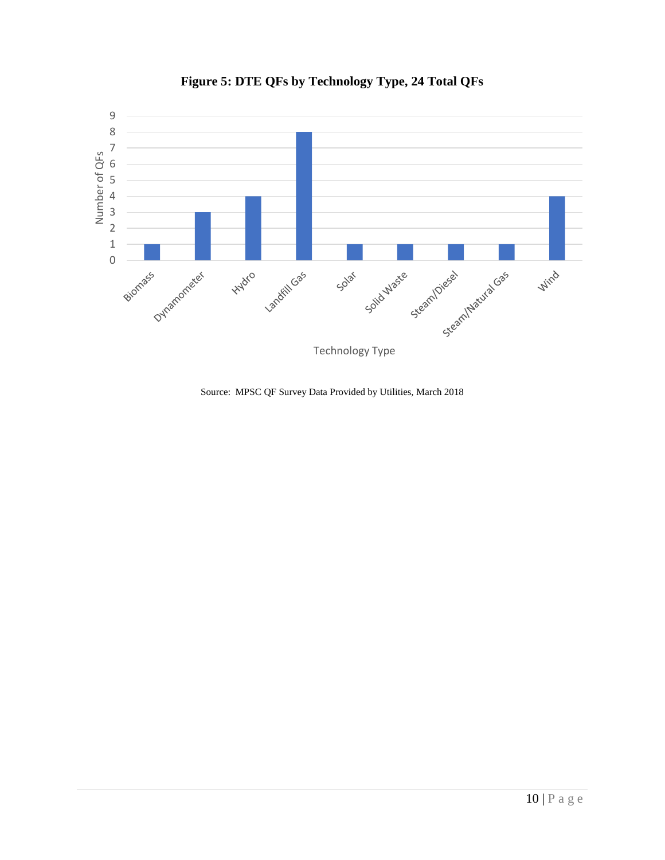

#### **Figure 5: DTE QFs by Technology Type, 24 Total QFs**

Source: MPSC QF Survey Data Provided by Utilities, March 2018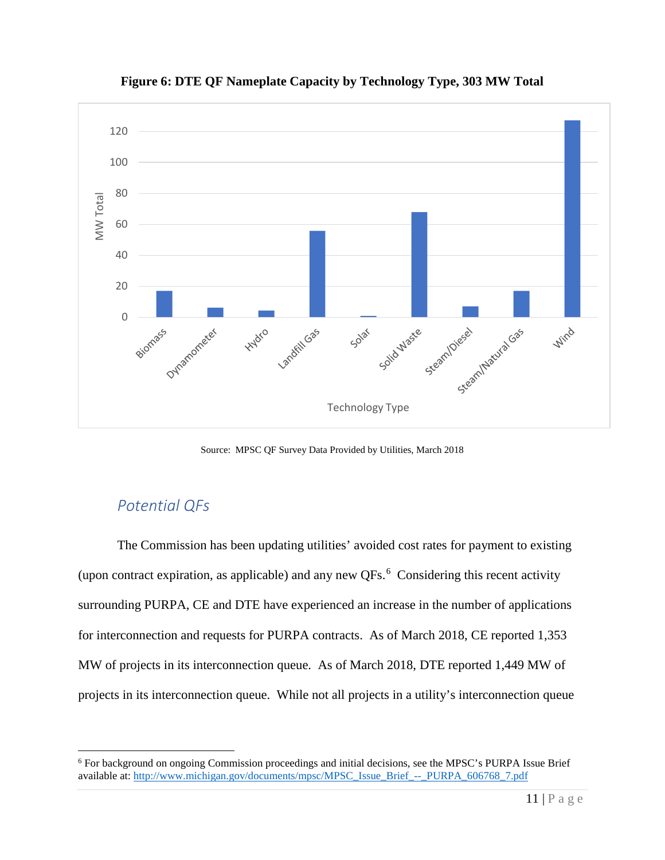

**Figure 6: DTE QF Nameplate Capacity by Technology Type, 303 MW Total**

Source: MPSC QF Survey Data Provided by Utilities, March 2018

## <span id="page-12-0"></span>*Potential QFs*

The Commission has been updating utilities' avoided cost rates for payment to existing (upon contract expiration, as applicable) and any new  $QFs$ . Considering this recent activity surrounding PURPA, CE and DTE have experienced an increase in the number of applications for interconnection and requests for PURPA contracts. As of March 2018, CE reported 1,353 MW of projects in its interconnection queue. As of March 2018, DTE reported 1,449 MW of projects in its interconnection queue. While not all projects in a utility's interconnection queue

<span id="page-12-1"></span> <sup>6</sup> For background on ongoing Commission proceedings and initial decisions, see the MPSC's PURPA Issue Brief available at: [http://www.michigan.gov/documents/mpsc/MPSC\\_Issue\\_Brief\\_--\\_PURPA\\_606768\\_7.pdf](http://www.michigan.gov/documents/mpsc/MPSC_Issue_Brief_--_PURPA_606768_7.pdf)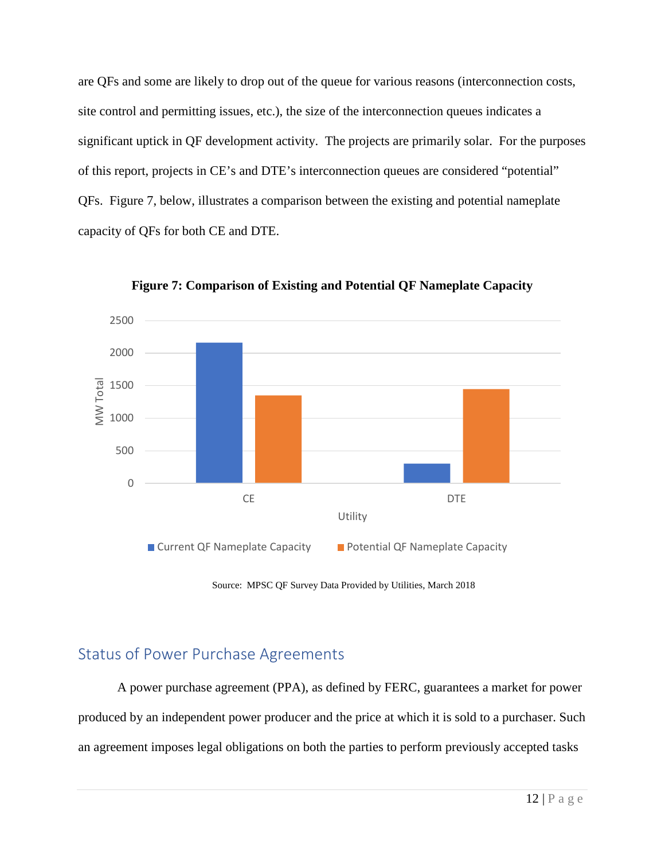are QFs and some are likely to drop out of the queue for various reasons (interconnection costs, site control and permitting issues, etc.), the size of the interconnection queues indicates a significant uptick in QF development activity. The projects are primarily solar. For the purposes of this report, projects in CE's and DTE's interconnection queues are considered "potential" QFs. Figure 7, below, illustrates a comparison between the existing and potential nameplate capacity of QFs for both CE and DTE.



**Figure 7: Comparison of Existing and Potential QF Nameplate Capacity**

Source: MPSC QF Survey Data Provided by Utilities, March 2018

## <span id="page-13-0"></span>Status of Power Purchase Agreements

A power purchase agreement (PPA), as defined by FERC, guarantees a market for power produced by an independent power producer and the price at which it is sold to a purchaser. Such an agreement imposes legal obligations on both the parties to perform previously accepted tasks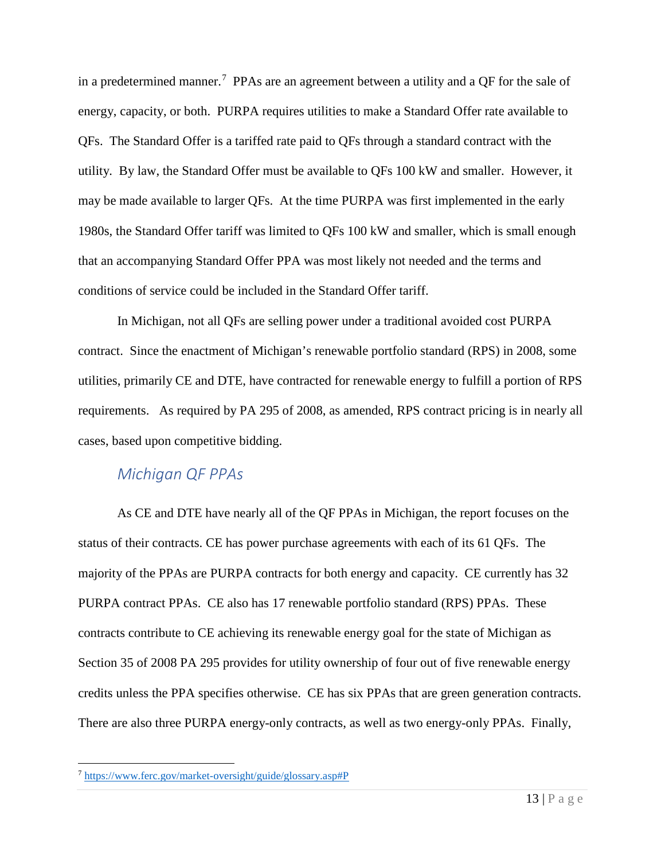in a predetermined manner.<sup>[7](#page-14-1)</sup> PPAs are an agreement between a utility and a QF for the sale of energy, capacity, or both. PURPA requires utilities to make a Standard Offer rate available to QFs. The Standard Offer is a tariffed rate paid to QFs through a standard contract with the utility. By law, the Standard Offer must be available to QFs 100 kW and smaller. However, it may be made available to larger QFs. At the time PURPA was first implemented in the early 1980s, the Standard Offer tariff was limited to QFs 100 kW and smaller, which is small enough that an accompanying Standard Offer PPA was most likely not needed and the terms and conditions of service could be included in the Standard Offer tariff.

In Michigan, not all QFs are selling power under a traditional avoided cost PURPA contract. Since the enactment of Michigan's renewable portfolio standard (RPS) in 2008, some utilities, primarily CE and DTE, have contracted for renewable energy to fulfill a portion of RPS requirements. As required by PA 295 of 2008, as amended, RPS contract pricing is in nearly all cases, based upon competitive bidding.

## <span id="page-14-0"></span>*Michigan QF PPAs*

As CE and DTE have nearly all of the QF PPAs in Michigan, the report focuses on the status of their contracts. CE has power purchase agreements with each of its 61 QFs. The majority of the PPAs are PURPA contracts for both energy and capacity. CE currently has 32 PURPA contract PPAs. CE also has 17 renewable portfolio standard (RPS) PPAs. These contracts contribute to CE achieving its renewable energy goal for the state of Michigan as Section 35 of 2008 PA 295 provides for utility ownership of four out of five renewable energy credits unless the PPA specifies otherwise. CE has six PPAs that are green generation contracts. There are also three PURPA energy-only contracts, as well as two energy-only PPAs. Finally,

<span id="page-14-1"></span> <sup>7</sup> <https://www.ferc.gov/market-oversight/guide/glossary.asp#P>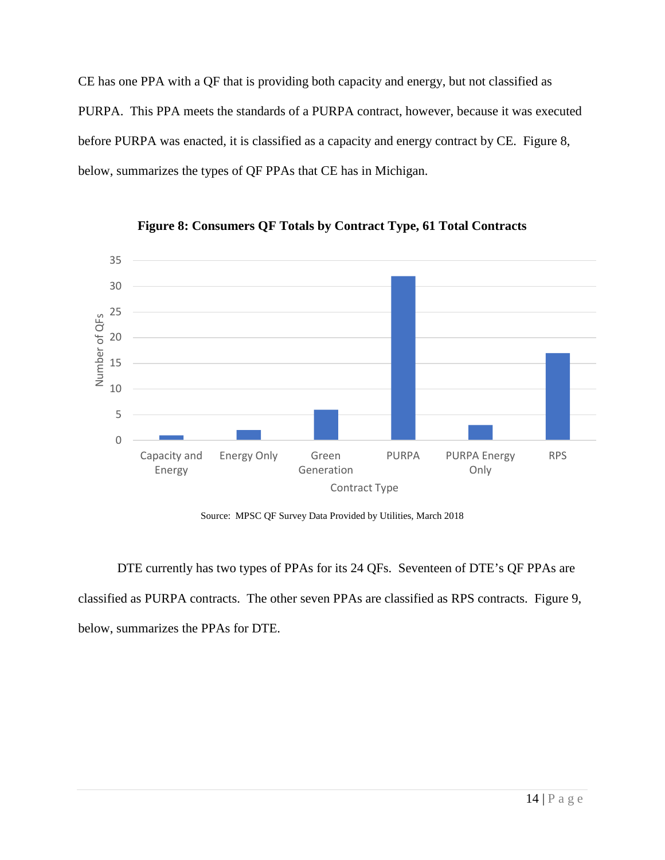CE has one PPA with a QF that is providing both capacity and energy, but not classified as PURPA. This PPA meets the standards of a PURPA contract, however, because it was executed before PURPA was enacted, it is classified as a capacity and energy contract by CE. Figure 8, below, summarizes the types of QF PPAs that CE has in Michigan.



**Figure 8: Consumers QF Totals by Contract Type, 61 Total Contracts**

Source: MPSC QF Survey Data Provided by Utilities, March 2018

DTE currently has two types of PPAs for its 24 QFs. Seventeen of DTE's QF PPAs are classified as PURPA contracts. The other seven PPAs are classified as RPS contracts. Figure 9, below, summarizes the PPAs for DTE.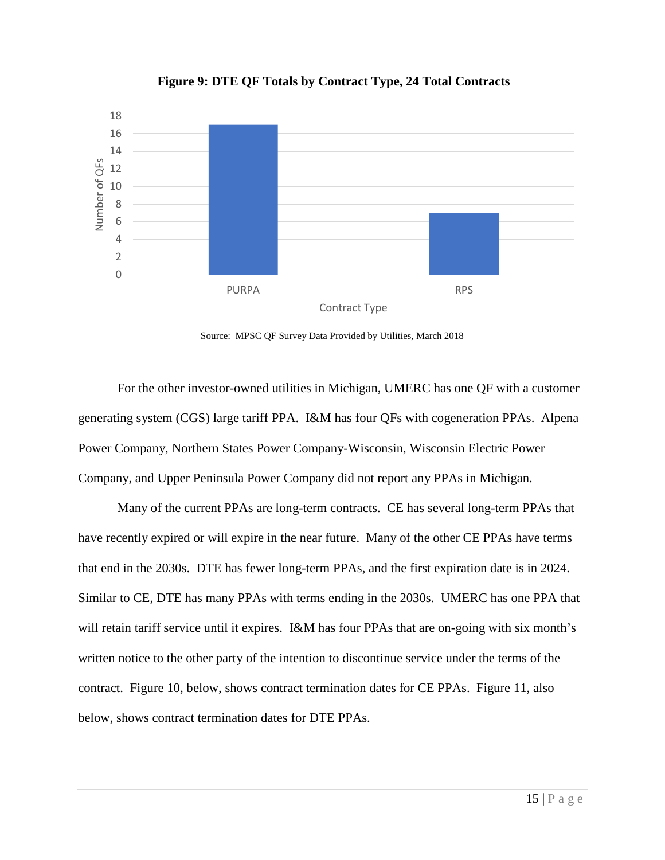

#### **Figure 9: DTE QF Totals by Contract Type, 24 Total Contracts**

Source: MPSC QF Survey Data Provided by Utilities, March 2018

For the other investor-owned utilities in Michigan, UMERC has one QF with a customer generating system (CGS) large tariff PPA. I&M has four QFs with cogeneration PPAs. Alpena Power Company, Northern States Power Company-Wisconsin, Wisconsin Electric Power Company, and Upper Peninsula Power Company did not report any PPAs in Michigan.

Many of the current PPAs are long-term contracts. CE has several long-term PPAs that have recently expired or will expire in the near future. Many of the other CE PPAs have terms that end in the 2030s. DTE has fewer long-term PPAs, and the first expiration date is in 2024. Similar to CE, DTE has many PPAs with terms ending in the 2030s. UMERC has one PPA that will retain tariff service until it expires. I&M has four PPAs that are on-going with six month's written notice to the other party of the intention to discontinue service under the terms of the contract. Figure 10, below, shows contract termination dates for CE PPAs. Figure 11, also below, shows contract termination dates for DTE PPAs.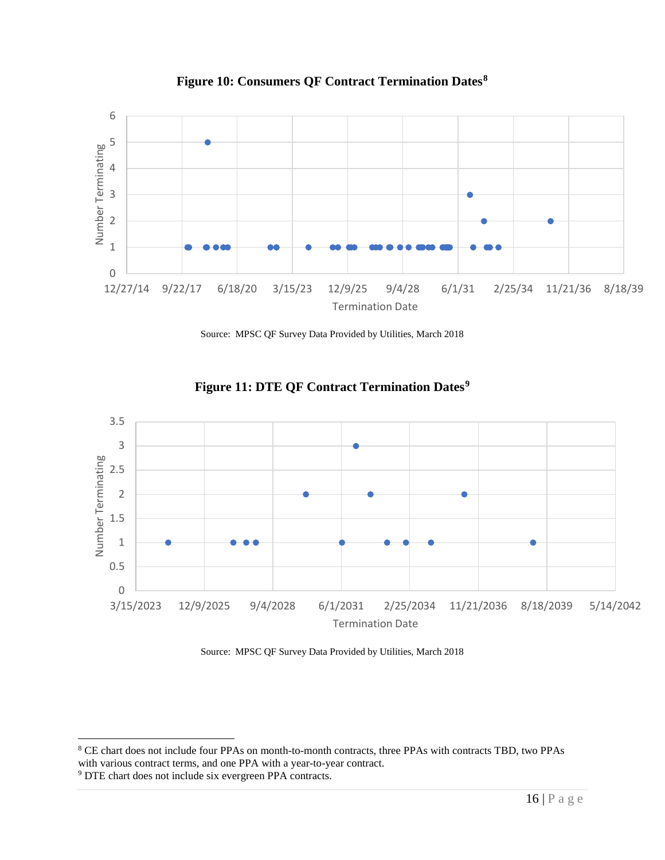

**Figure 10: Consumers QF Contract Termination Dates[8](#page-17-0)**

Source: MPSC QF Survey Data Provided by Utilities, March 2018



**Figure 11: DTE QF Contract Termination Dates[9](#page-17-1)**

Source: MPSC QF Survey Data Provided by Utilities, March 2018

<span id="page-17-0"></span> <sup>8</sup> CE chart does not include four PPAs on month-to-month contracts, three PPAs with contracts TBD, two PPAs with various contract terms, and one PPA with a year-to-year contract.

<span id="page-17-1"></span><sup>9</sup> DTE chart does not include six evergreen PPA contracts.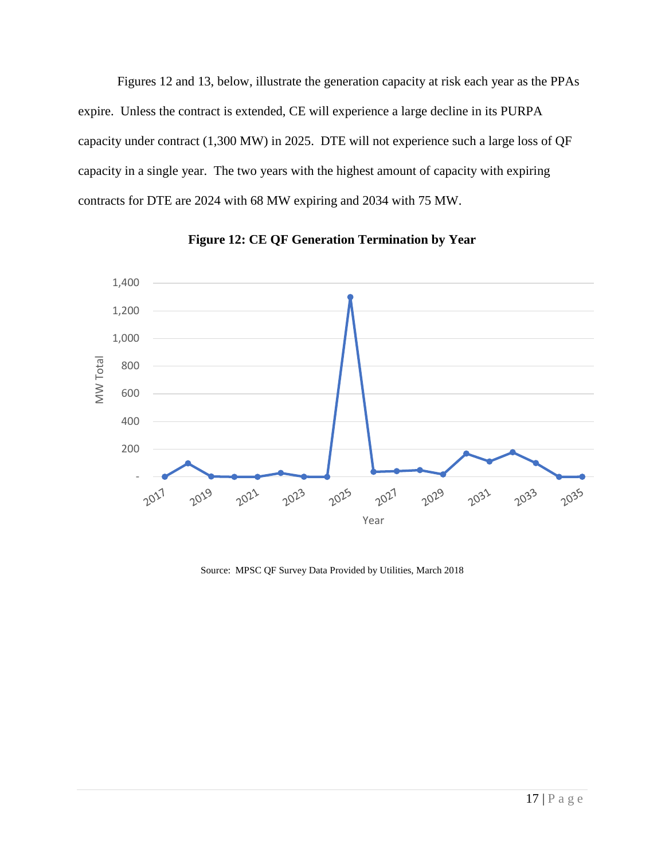Figures 12 and 13, below, illustrate the generation capacity at risk each year as the PPAs expire. Unless the contract is extended, CE will experience a large decline in its PURPA capacity under contract (1,300 MW) in 2025. DTE will not experience such a large loss of QF capacity in a single year. The two years with the highest amount of capacity with expiring contracts for DTE are 2024 with 68 MW expiring and 2034 with 75 MW.



**Figure 12: CE QF Generation Termination by Year**

Source: MPSC QF Survey Data Provided by Utilities, March 2018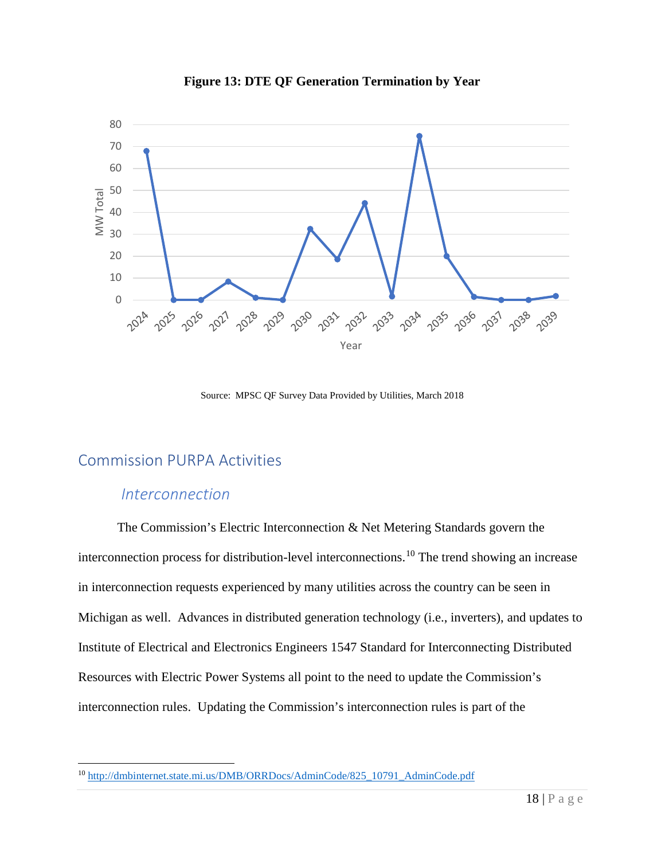

**Figure 13: DTE QF Generation Termination by Year**

Source: MPSC QF Survey Data Provided by Utilities, March 2018

## <span id="page-19-0"></span>Commission PURPA Activities

#### <span id="page-19-1"></span>*Interconnection*

The Commission's Electric Interconnection & Net Metering Standards govern the interconnection process for distribution-level interconnections.[10](#page-19-2) The trend showing an increase in interconnection requests experienced by many utilities across the country can be seen in Michigan as well. Advances in distributed generation technology (i.e., inverters), and updates to Institute of Electrical and Electronics Engineers 1547 Standard for Interconnecting Distributed Resources with Electric Power Systems all point to the need to update the Commission's interconnection rules. Updating the Commission's interconnection rules is part of the

<span id="page-19-2"></span> <sup>10</sup> [http://dmbinternet.state.mi.us/DMB/ORRDocs/AdminCode/825\\_10791\\_AdminCode.pdf](http://dmbinternet.state.mi.us/DMB/ORRDocs/AdminCode/825_10791_AdminCode.pdf)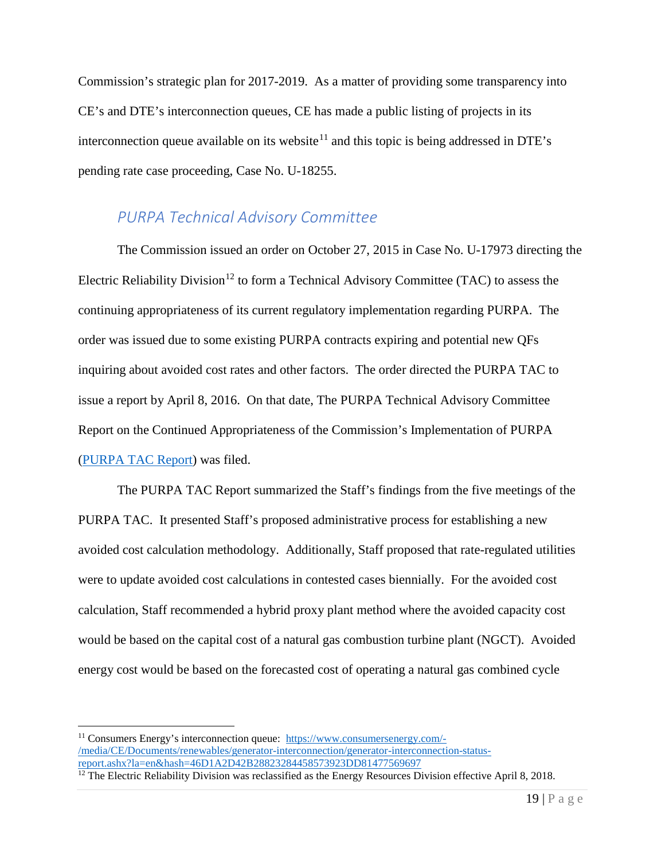Commission's strategic plan for 2017-2019. As a matter of providing some transparency into CE's and DTE's interconnection queues, CE has made a public listing of projects in its interconnection queue available on its website<sup>[11](#page-20-1)</sup> and this topic is being addressed in DTE's pending rate case proceeding, Case No. U-18255.

#### <span id="page-20-0"></span>*PURPA Technical Advisory Committee*

The Commission issued an order on October 27, 2015 in Case No. U-17973 directing the Electric Reliability Division<sup>[12](#page-20-2)</sup> to form a Technical Advisory Committee (TAC) to assess the continuing appropriateness of its current regulatory implementation regarding PURPA. The order was issued due to some existing PURPA contracts expiring and potential new QFs inquiring about avoided cost rates and other factors. The order directed the PURPA TAC to issue a report by April 8, 2016. On that date, The PURPA Technical Advisory Committee Report on the Continued Appropriateness of the Commission's Implementation of PURPA [\(PURPA TAC Report\)](https://mi-psc.force.com/s/filing/a00t0000005piigAAA/u179730004) was filed.

The PURPA TAC Report summarized the Staff's findings from the five meetings of the PURPA TAC. It presented Staff's proposed administrative process for establishing a new avoided cost calculation methodology. Additionally, Staff proposed that rate-regulated utilities were to update avoided cost calculations in contested cases biennially. For the avoided cost calculation, Staff recommended a hybrid proxy plant method where the avoided capacity cost would be based on the capital cost of a natural gas combustion turbine plant (NGCT). Avoided energy cost would be based on the forecasted cost of operating a natural gas combined cycle

<span id="page-20-1"></span> <sup>11</sup> Consumers Energy's interconnection queue: [https://www.consumersenergy.com/-](https://www.consumersenergy.com/-/media/CE/Documents/renewables/generator-interconnection/generator-interconnection-status-report.ashx?la=en&hash=46D1A2D42B28823284458573923DD81477569697) [/media/CE/Documents/renewables/generator-interconnection/generator-interconnection-status](https://www.consumersenergy.com/-/media/CE/Documents/renewables/generator-interconnection/generator-interconnection-status-report.ashx?la=en&hash=46D1A2D42B28823284458573923DD81477569697)[report.ashx?la=en&hash=46D1A2D42B28823284458573923DD81477569697](https://www.consumersenergy.com/-/media/CE/Documents/renewables/generator-interconnection/generator-interconnection-status-report.ashx?la=en&hash=46D1A2D42B28823284458573923DD81477569697)

<span id="page-20-2"></span> $12$  The Electric Reliability Division was reclassified as the Energy Resources Division effective April 8, 2018.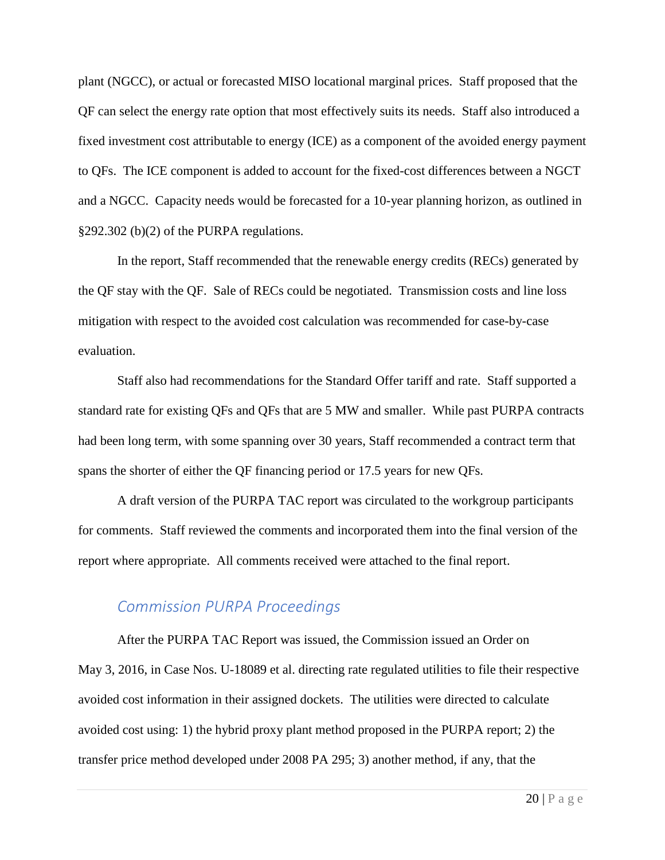plant (NGCC), or actual or forecasted MISO locational marginal prices. Staff proposed that the QF can select the energy rate option that most effectively suits its needs. Staff also introduced a fixed investment cost attributable to energy (ICE) as a component of the avoided energy payment to QFs. The ICE component is added to account for the fixed-cost differences between a NGCT and a NGCC. Capacity needs would be forecasted for a 10-year planning horizon, as outlined in §292.302 (b)(2) of the PURPA regulations.

In the report, Staff recommended that the renewable energy credits (RECs) generated by the QF stay with the QF. Sale of RECs could be negotiated. Transmission costs and line loss mitigation with respect to the avoided cost calculation was recommended for case-by-case evaluation.

Staff also had recommendations for the Standard Offer tariff and rate. Staff supported a standard rate for existing QFs and QFs that are 5 MW and smaller. While past PURPA contracts had been long term, with some spanning over 30 years, Staff recommended a contract term that spans the shorter of either the QF financing period or 17.5 years for new QFs.

A draft version of the PURPA TAC report was circulated to the workgroup participants for comments. Staff reviewed the comments and incorporated them into the final version of the report where appropriate. All comments received were attached to the final report.

#### <span id="page-21-0"></span>*Commission PURPA Proceedings*

After the PURPA TAC Report was issued, the Commission issued an Order on May 3, 2016, in Case Nos. U-18089 et al. directing rate regulated utilities to file their respective avoided cost information in their assigned dockets. The utilities were directed to calculate avoided cost using: 1) the hybrid proxy plant method proposed in the PURPA report; 2) the transfer price method developed under 2008 PA 295; 3) another method, if any, that the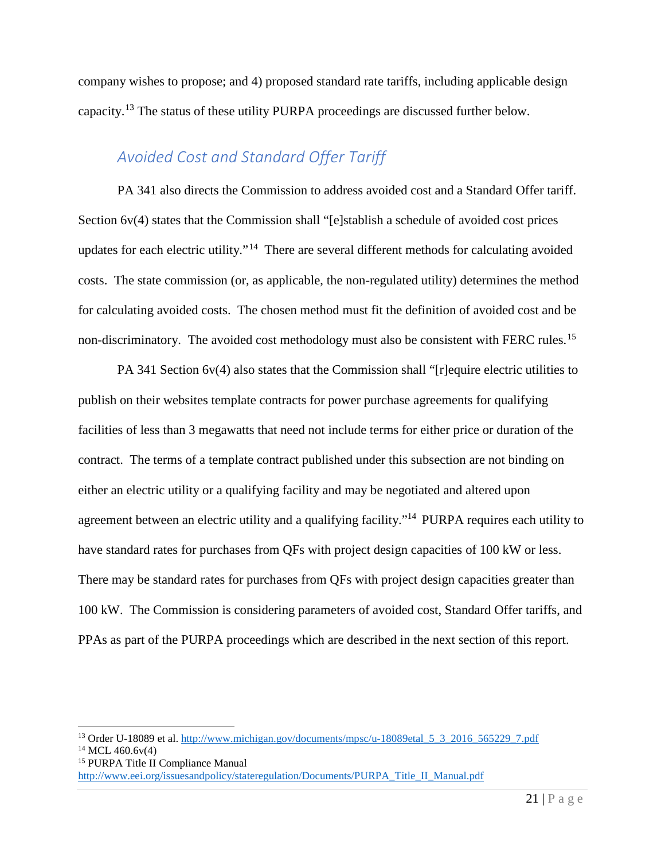company wishes to propose; and 4) proposed standard rate tariffs, including applicable design capacity.[13](#page-22-1) The status of these utility PURPA proceedings are discussed further below.

## <span id="page-22-0"></span>*Avoided Cost and Standard Offer Tariff*

PA 341 also directs the Commission to address avoided cost and a Standard Offer tariff. Section 6v(4) states that the Commission shall "[e]stablish a schedule of avoided cost prices updates for each electric utility."[14](#page-22-2) There are several different methods for calculating avoided costs. The state commission (or, as applicable, the non-regulated utility) determines the method for calculating avoided costs. The chosen method must fit the definition of avoided cost and be non-discriminatory. The avoided cost methodology must also be consistent with FERC rules.<sup>15</sup>

PA 341 Section 6v(4) also states that the Commission shall "[r]equire electric utilities to publish on their websites template contracts for power purchase agreements for qualifying facilities of less than 3 megawatts that need not include terms for either price or duration of the contract. The terms of a template contract published under this subsection are not binding on either an electric utility or a qualifying facility and may be negotiated and altered upon agreement between an electric utility and a qualifying facility."14 PURPA requires each utility to have standard rates for purchases from QFs with project design capacities of 100 kW or less. There may be standard rates for purchases from QFs with project design capacities greater than 100 kW. The Commission is considering parameters of avoided cost, Standard Offer tariffs, and PPAs as part of the PURPA proceedings which are described in the next section of this report.

<span id="page-22-1"></span><sup>&</sup>lt;sup>13</sup> Order U-18089 et al. http://www.michigan.gov/documents/mpsc/u-18089etal 5 3 2016 565229 7.pdf  $14$  MCL 460.6v(4)

<span id="page-22-3"></span><span id="page-22-2"></span><sup>15</sup> PURPA Title II Compliance Manual

[http://www.eei.org/issuesandpolicy/stateregulation/Documents/PURPA\\_Title\\_II\\_Manual.pdf](http://www.eei.org/issuesandpolicy/stateregulation/Documents/PURPA_Title_II_Manual.pdf)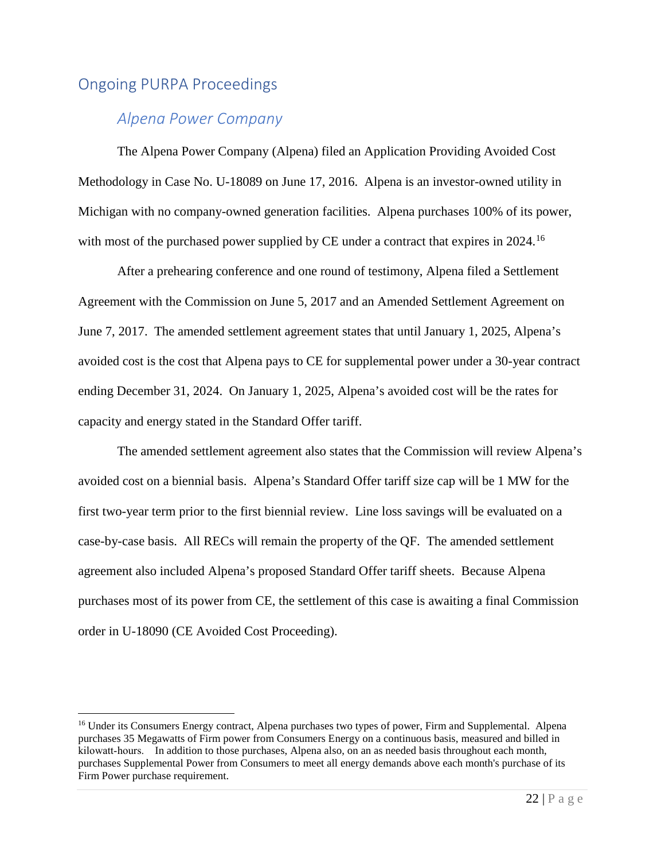## <span id="page-23-1"></span><span id="page-23-0"></span>Ongoing PURPA Proceedings

## *Alpena Power Company*

The Alpena Power Company (Alpena) filed an Application Providing Avoided Cost Methodology in Case No. U-18089 on June 17, 2016. Alpena is an investor-owned utility in Michigan with no company-owned generation facilities. Alpena purchases 100% of its power, with most of the purchased power supplied by CE under a contract that expires in 2024.<sup>16</sup>

After a prehearing conference and one round of testimony, Alpena filed a Settlement Agreement with the Commission on June 5, 2017 and an Amended Settlement Agreement on June 7, 2017. The amended settlement agreement states that until January 1, 2025, Alpena's avoided cost is the cost that Alpena pays to CE for supplemental power under a 30-year contract ending December 31, 2024. On January 1, 2025, Alpena's avoided cost will be the rates for capacity and energy stated in the Standard Offer tariff.

The amended settlement agreement also states that the Commission will review Alpena's avoided cost on a biennial basis. Alpena's Standard Offer tariff size cap will be 1 MW for the first two-year term prior to the first biennial review. Line loss savings will be evaluated on a case-by-case basis. All RECs will remain the property of the QF. The amended settlement agreement also included Alpena's proposed Standard Offer tariff sheets. Because Alpena purchases most of its power from CE, the settlement of this case is awaiting a final Commission order in U-18090 (CE Avoided Cost Proceeding).

<span id="page-23-2"></span><sup>&</sup>lt;sup>16</sup> Under its Consumers Energy contract, Alpena purchases two types of power, Firm and Supplemental. Alpena purchases 35 Megawatts of Firm power from Consumers Energy on a continuous basis, measured and billed in kilowatt-hours. In addition to those purchases, Alpena also, on an as needed basis throughout each month, purchases Supplemental Power from Consumers to meet all energy demands above each month's purchase of its Firm Power purchase requirement.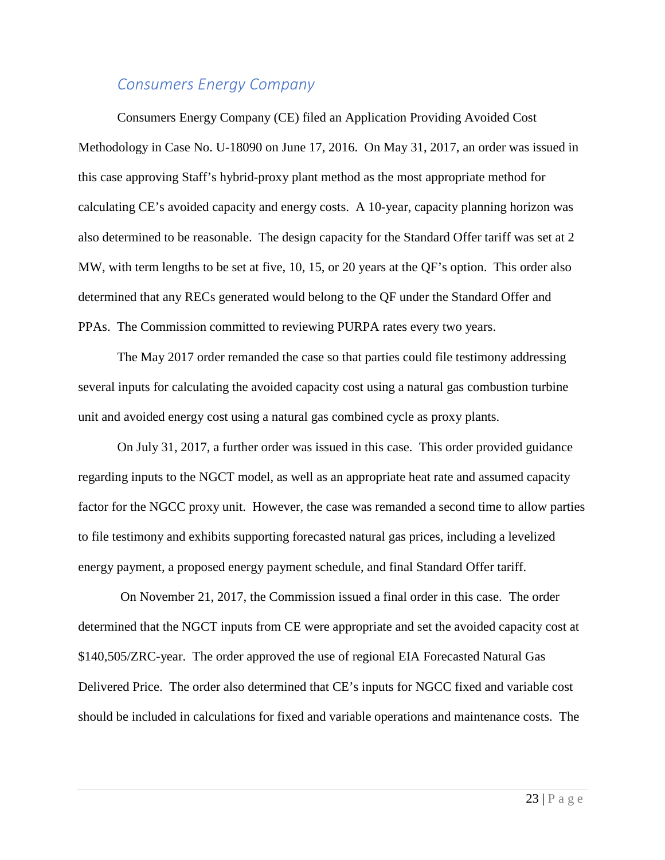#### <span id="page-24-0"></span>*Consumers Energy Company*

Consumers Energy Company (CE) filed an Application Providing Avoided Cost Methodology in Case No. U-18090 on June 17, 2016. On May 31, 2017, an order was issued in this case approving Staff's hybrid-proxy plant method as the most appropriate method for calculating CE's avoided capacity and energy costs. A 10-year, capacity planning horizon was also determined to be reasonable. The design capacity for the Standard Offer tariff was set at 2 MW, with term lengths to be set at five, 10, 15, or 20 years at the QF's option. This order also determined that any RECs generated would belong to the QF under the Standard Offer and PPAs. The Commission committed to reviewing PURPA rates every two years.

The May 2017 order remanded the case so that parties could file testimony addressing several inputs for calculating the avoided capacity cost using a natural gas combustion turbine unit and avoided energy cost using a natural gas combined cycle as proxy plants.

On July 31, 2017, a further order was issued in this case. This order provided guidance regarding inputs to the NGCT model, as well as an appropriate heat rate and assumed capacity factor for the NGCC proxy unit. However, the case was remanded a second time to allow parties to file testimony and exhibits supporting forecasted natural gas prices, including a levelized energy payment, a proposed energy payment schedule, and final Standard Offer tariff.

On November 21, 2017, the Commission issued a final order in this case. The order determined that the NGCT inputs from CE were appropriate and set the avoided capacity cost at \$140,505/ZRC-year. The order approved the use of regional EIA Forecasted Natural Gas Delivered Price. The order also determined that CE's inputs for NGCC fixed and variable cost should be included in calculations for fixed and variable operations and maintenance costs. The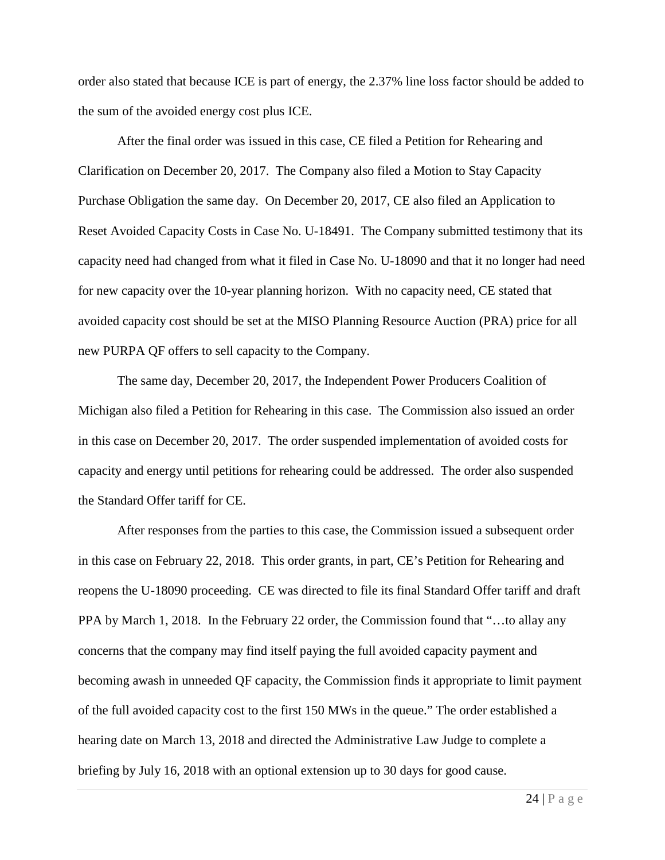order also stated that because ICE is part of energy, the 2.37% line loss factor should be added to the sum of the avoided energy cost plus ICE.

After the final order was issued in this case, CE filed a Petition for Rehearing and Clarification on December 20, 2017. The Company also filed a Motion to Stay Capacity Purchase Obligation the same day. On December 20, 2017, CE also filed an Application to Reset Avoided Capacity Costs in Case No. U-18491. The Company submitted testimony that its capacity need had changed from what it filed in Case No. U-18090 and that it no longer had need for new capacity over the 10-year planning horizon. With no capacity need, CE stated that avoided capacity cost should be set at the MISO Planning Resource Auction (PRA) price for all new PURPA QF offers to sell capacity to the Company.

The same day, December 20, 2017, the Independent Power Producers Coalition of Michigan also filed a Petition for Rehearing in this case. The Commission also issued an order in this case on December 20, 2017. The order suspended implementation of avoided costs for capacity and energy until petitions for rehearing could be addressed. The order also suspended the Standard Offer tariff for CE.

After responses from the parties to this case, the Commission issued a subsequent order in this case on February 22, 2018. This order grants, in part, CE's Petition for Rehearing and reopens the U-18090 proceeding. CE was directed to file its final Standard Offer tariff and draft PPA by March 1, 2018. In the February 22 order, the Commission found that "…to allay any concerns that the company may find itself paying the full avoided capacity payment and becoming awash in unneeded QF capacity, the Commission finds it appropriate to limit payment of the full avoided capacity cost to the first 150 MWs in the queue." The order established a hearing date on March 13, 2018 and directed the Administrative Law Judge to complete a briefing by July 16, 2018 with an optional extension up to 30 days for good cause.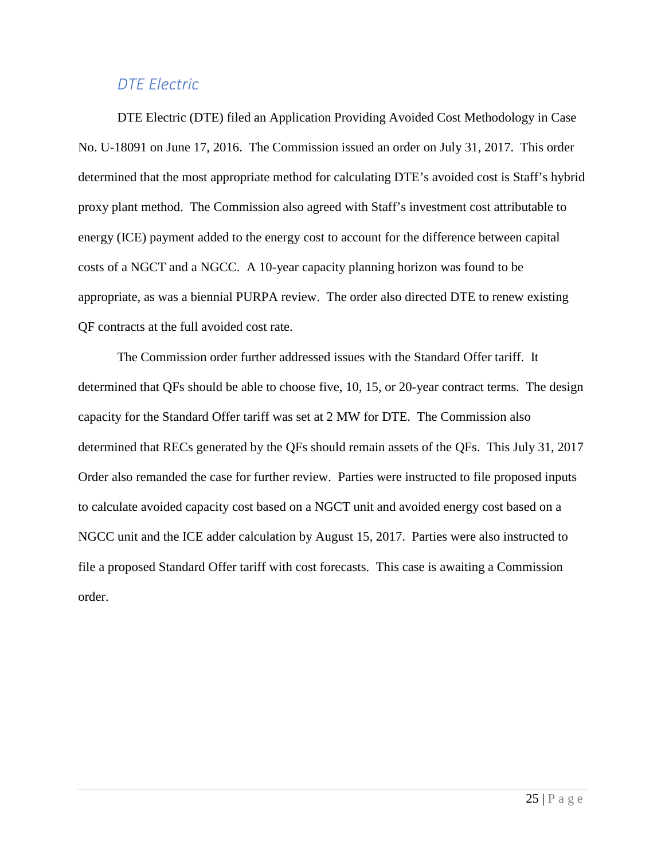#### *DTE Electric*

<span id="page-26-0"></span>DTE Electric (DTE) filed an Application Providing Avoided Cost Methodology in Case No. U-18091 on June 17, 2016. The Commission issued an order on July 31, 2017. This order determined that the most appropriate method for calculating DTE's avoided cost is Staff's hybrid proxy plant method. The Commission also agreed with Staff's investment cost attributable to energy (ICE) payment added to the energy cost to account for the difference between capital costs of a NGCT and a NGCC. A 10-year capacity planning horizon was found to be appropriate, as was a biennial PURPA review. The order also directed DTE to renew existing QF contracts at the full avoided cost rate.

<span id="page-26-1"></span>The Commission order further addressed issues with the Standard Offer tariff. It determined that QFs should be able to choose five, 10, 15, or 20-year contract terms. The design capacity for the Standard Offer tariff was set at 2 MW for DTE. The Commission also determined that RECs generated by the QFs should remain assets of the QFs. This July 31, 2017 Order also remanded the case for further review. Parties were instructed to file proposed inputs to calculate avoided capacity cost based on a NGCT unit and avoided energy cost based on a NGCC unit and the ICE adder calculation by August 15, 2017. Parties were also instructed to file a proposed Standard Offer tariff with cost forecasts. This case is awaiting a Commission order.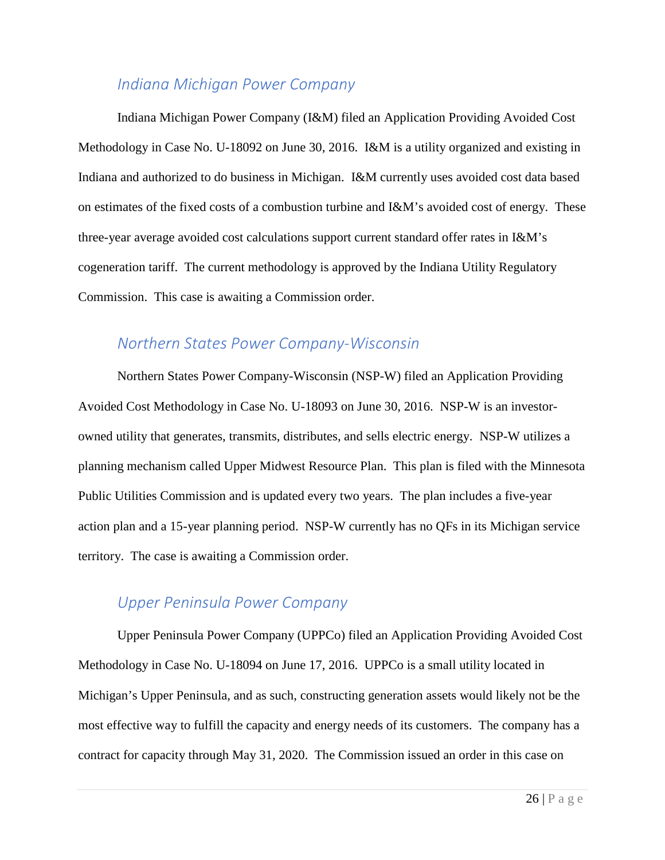## *Indiana Michigan Power Company*

Indiana Michigan Power Company (I&M) filed an Application Providing Avoided Cost Methodology in Case No. U-18092 on June 30, 2016. I&M is a utility organized and existing in Indiana and authorized to do business in Michigan. I&M currently uses avoided cost data based on estimates of the fixed costs of a combustion turbine and I&M's avoided cost of energy. These three-year average avoided cost calculations support current standard offer rates in I&M's cogeneration tariff. The current methodology is approved by the Indiana Utility Regulatory Commission. This case is awaiting a Commission order.

## <span id="page-27-0"></span>*Northern States Power Company-Wisconsin*

Northern States Power Company-Wisconsin (NSP-W) filed an Application Providing Avoided Cost Methodology in Case No. U-18093 on June 30, 2016. NSP-W is an investorowned utility that generates, transmits, distributes, and sells electric energy. NSP-W utilizes a planning mechanism called Upper Midwest Resource Plan. This plan is filed with the Minnesota Public Utilities Commission and is updated every two years. The plan includes a five-year action plan and a 15-year planning period. NSP-W currently has no QFs in its Michigan service territory. The case is awaiting a Commission order.

#### <span id="page-27-1"></span>*Upper Peninsula Power Company*

Upper Peninsula Power Company (UPPCo) filed an Application Providing Avoided Cost Methodology in Case No. U-18094 on June 17, 2016. UPPCo is a small utility located in Michigan's Upper Peninsula, and as such, constructing generation assets would likely not be the most effective way to fulfill the capacity and energy needs of its customers. The company has a contract for capacity through May 31, 2020. The Commission issued an order in this case on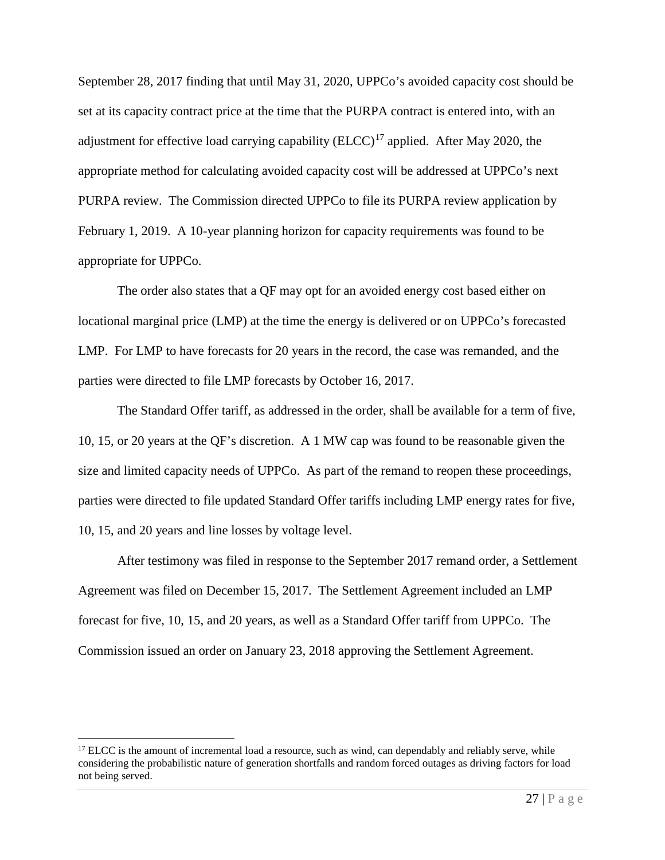September 28, 2017 finding that until May 31, 2020, UPPCo's avoided capacity cost should be set at its capacity contract price at the time that the PURPA contract is entered into, with an adjustment for effective load carrying capability  $(ELCC)^{17}$  $(ELCC)^{17}$  $(ELCC)^{17}$  applied. After May 2020, the appropriate method for calculating avoided capacity cost will be addressed at UPPCo's next PURPA review. The Commission directed UPPCo to file its PURPA review application by February 1, 2019. A 10-year planning horizon for capacity requirements was found to be appropriate for UPPCo.

The order also states that a QF may opt for an avoided energy cost based either on locational marginal price (LMP) at the time the energy is delivered or on UPPCo's forecasted LMP. For LMP to have forecasts for 20 years in the record, the case was remanded, and the parties were directed to file LMP forecasts by October 16, 2017.

The Standard Offer tariff, as addressed in the order, shall be available for a term of five, 10, 15, or 20 years at the QF's discretion. A 1 MW cap was found to be reasonable given the size and limited capacity needs of UPPCo. As part of the remand to reopen these proceedings, parties were directed to file updated Standard Offer tariffs including LMP energy rates for five, 10, 15, and 20 years and line losses by voltage level.

After testimony was filed in response to the September 2017 remand order, a Settlement Agreement was filed on December 15, 2017. The Settlement Agreement included an LMP forecast for five, 10, 15, and 20 years, as well as a Standard Offer tariff from UPPCo. The Commission issued an order on January 23, 2018 approving the Settlement Agreement.

<span id="page-28-0"></span><sup>&</sup>lt;sup>17</sup> ELCC is the amount of incremental load a resource, such as wind, can dependably and reliably serve, while considering the probabilistic nature of generation shortfalls and random forced outages as driving factors for load not being served.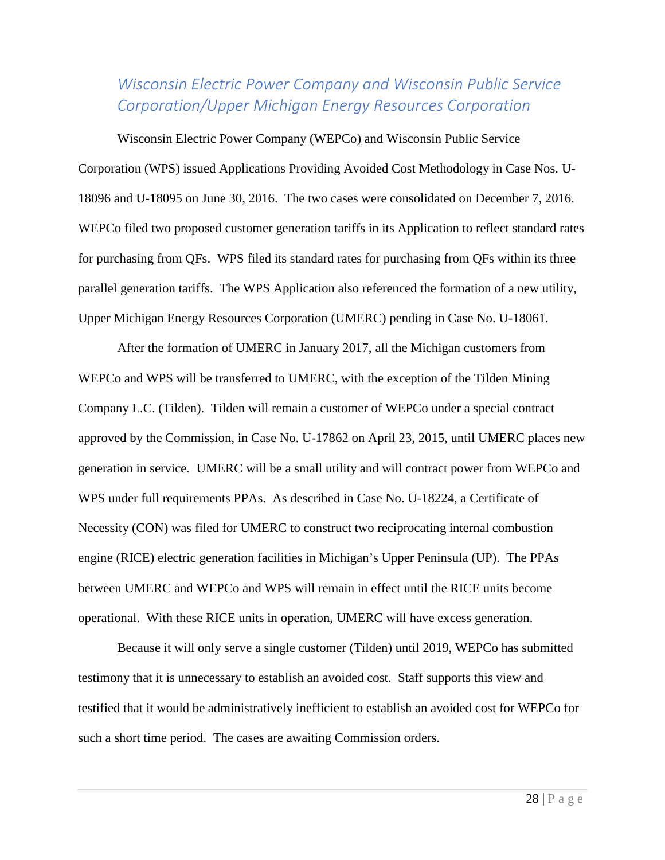## <span id="page-29-0"></span>*Wisconsin Electric Power Company and Wisconsin Public Service Corporation/Upper Michigan Energy Resources Corporation*

Wisconsin Electric Power Company (WEPCo) and Wisconsin Public Service Corporation (WPS) issued Applications Providing Avoided Cost Methodology in Case Nos. U-18096 and U-18095 on June 30, 2016. The two cases were consolidated on December 7, 2016. WEPCo filed two proposed customer generation tariffs in its Application to reflect standard rates for purchasing from QFs. WPS filed its standard rates for purchasing from QFs within its three parallel generation tariffs. The WPS Application also referenced the formation of a new utility, Upper Michigan Energy Resources Corporation (UMERC) pending in Case No. U-18061.

After the formation of UMERC in January 2017, all the Michigan customers from WEPCo and WPS will be transferred to UMERC, with the exception of the Tilden Mining Company L.C. (Tilden). Tilden will remain a customer of WEPCo under a special contract approved by the Commission, in Case No. U-17862 on April 23, 2015, until UMERC places new generation in service. UMERC will be a small utility and will contract power from WEPCo and WPS under full requirements PPAs. As described in Case No. U-18224, a Certificate of Necessity (CON) was filed for UMERC to construct two reciprocating internal combustion engine (RICE) electric generation facilities in Michigan's Upper Peninsula (UP). The PPAs between UMERC and WEPCo and WPS will remain in effect until the RICE units become operational. With these RICE units in operation, UMERC will have excess generation.

Because it will only serve a single customer (Tilden) until 2019, WEPCo has submitted testimony that it is unnecessary to establish an avoided cost. Staff supports this view and testified that it would be administratively inefficient to establish an avoided cost for WEPCo for such a short time period. The cases are awaiting Commission orders.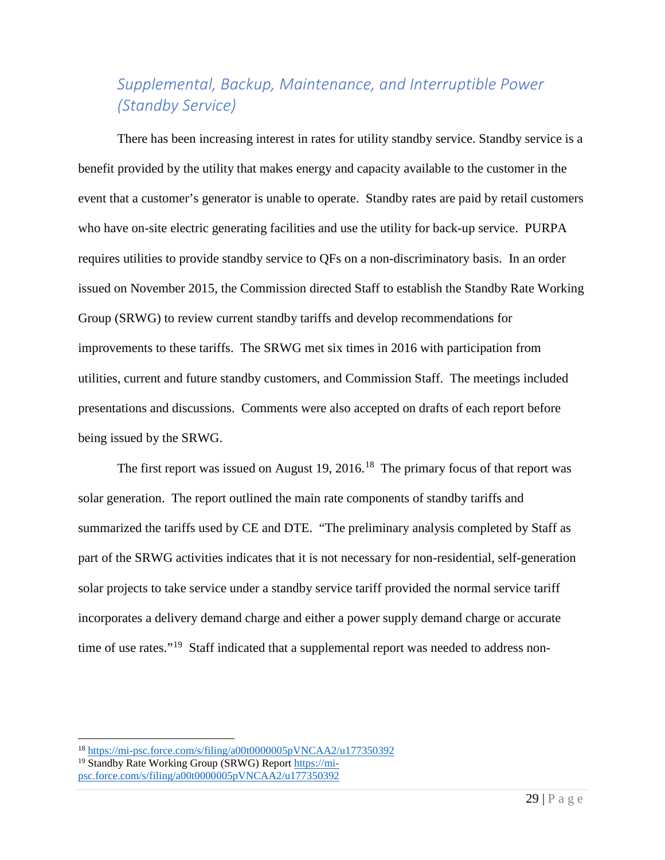# <span id="page-30-0"></span>*Supplemental, Backup, Maintenance, and Interruptible Power (Standby Service)*

There has been increasing interest in rates for utility standby service. Standby service is a benefit provided by the utility that makes energy and capacity available to the customer in the event that a customer's generator is unable to operate. Standby rates are paid by retail customers who have on-site electric generating facilities and use the utility for back-up service. PURPA requires utilities to provide standby service to QFs on a non-discriminatory basis. In an order issued on November 2015, the Commission directed Staff to establish the Standby Rate Working Group (SRWG) to review current standby tariffs and develop recommendations for improvements to these tariffs. The SRWG met six times in 2016 with participation from utilities, current and future standby customers, and Commission Staff. The meetings included presentations and discussions. Comments were also accepted on drafts of each report before being issued by the SRWG.

The first report was issued on August 19, 2016.<sup>18</sup> The primary focus of that report was solar generation. The report outlined the main rate components of standby tariffs and summarized the tariffs used by CE and DTE. "The preliminary analysis completed by Staff as part of the SRWG activities indicates that it is not necessary for non-residential, self-generation solar projects to take service under a standby service tariff provided the normal service tariff incorporates a delivery demand charge and either a power supply demand charge or accurate time of use rates."<sup>[19](#page-30-2)</sup> Staff indicated that a supplemental report was needed to address non-

<span id="page-30-1"></span><sup>&</sup>lt;sup>18</sup> https://mi-psc.force.com/s/filing/a00t0000005pVNCAA2/u177350392<sup>19</sup> Standby Rate Working Group (SRWG) Report https://mi-

<span id="page-30-2"></span>[psc.force.com/s/filing/a00t0000005pVNCAA2/u177350392](https://mi-psc.force.com/s/filing/a00t0000005pVNCAA2/u177350392)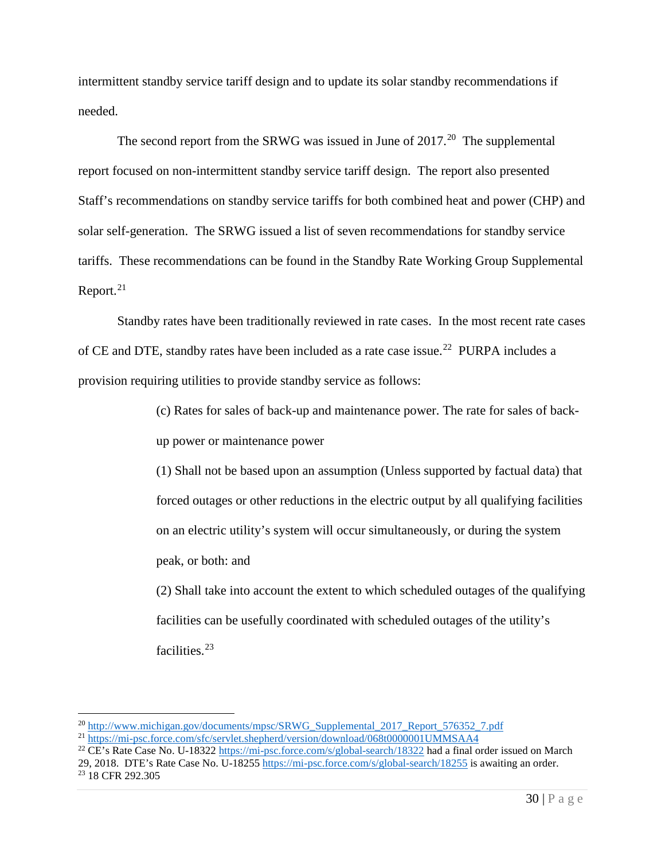intermittent standby service tariff design and to update its solar standby recommendations if needed.

The second report from the SRWG was issued in June of  $2017<sup>20</sup>$  $2017<sup>20</sup>$  The supplemental report focused on non-intermittent standby service tariff design. The report also presented Staff's recommendations on standby service tariffs for both combined heat and power (CHP) and solar self-generation. The SRWG issued a list of seven recommendations for standby service tariffs. These recommendations can be found in the Standby Rate Working Group Supplemental Report.<sup>[21](#page-31-1)</sup>

Standby rates have been traditionally reviewed in rate cases. In the most recent rate cases of CE and DTE, standby rates have been included as a rate case issue.<sup>[22](#page-31-2)</sup> PURPA includes a provision requiring utilities to provide standby service as follows:

> (c) Rates for sales of back-up and maintenance power. The rate for sales of backup power or maintenance power

> (1) Shall not be based upon an assumption (Unless supported by factual data) that forced outages or other reductions in the electric output by all qualifying facilities on an electric utility's system will occur simultaneously, or during the system peak, or both: and

> (2) Shall take into account the extent to which scheduled outages of the qualifying facilities can be usefully coordinated with scheduled outages of the utility's facilities.<sup>[23](#page-31-3)</sup>

<span id="page-31-2"></span><sup>22</sup> CE's Rate Case No. U-1832[2 https://mi-psc.force.com/s/global-search/18322](https://mi-psc.force.com/s/global-search/18322) had a final order issued on March 29, 2018. DTE's Rate Case No. U-1825[5 https://mi-psc.force.com/s/global-search/18255](https://mi-psc.force.com/s/global-search/18255) is awaiting an order.

<span id="page-31-0"></span><sup>&</sup>lt;sup>20</sup> [http://www.michigan.gov/documents/mpsc/SRWG\\_Supplemental\\_2017\\_Report\\_576352\\_7.pdf](http://www.michigan.gov/documents/mpsc/SRWG_Supplemental_2017_Report_576352_7.pdf)

<span id="page-31-1"></span><sup>21</sup> <https://mi-psc.force.com/sfc/servlet.shepherd/version/download/068t0000001UMMSAA4>

<span id="page-31-3"></span><sup>&</sup>lt;sup>23</sup> 18 CFR 292.305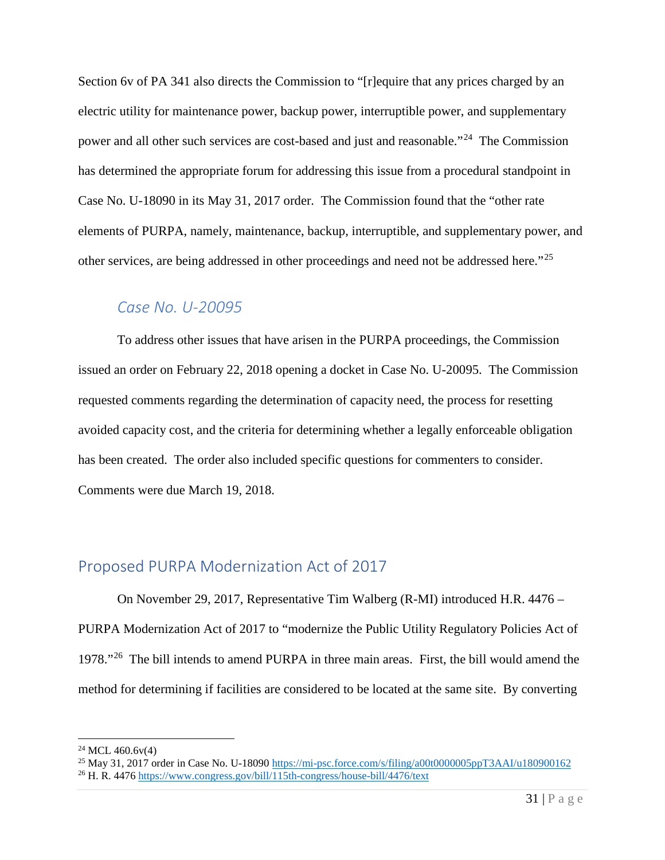Section 6v of PA 341 also directs the Commission to "[r]equire that any prices charged by an electric utility for maintenance power, backup power, interruptible power, and supplementary power and all other such services are cost-based and just and reasonable."[24](#page-32-2) The Commission has determined the appropriate forum for addressing this issue from a procedural standpoint in Case No. U-18090 in its May 31, 2017 order. The Commission found that the "other rate elements of PURPA, namely, maintenance, backup, interruptible, and supplementary power, and other services, are being addressed in other proceedings and need not be addressed here."[25](#page-32-3)

#### <span id="page-32-0"></span>*Case No. U-20095*

To address other issues that have arisen in the PURPA proceedings, the Commission issued an order on February 22, 2018 opening a docket in Case No. U-20095. The Commission requested comments regarding the determination of capacity need, the process for resetting avoided capacity cost, and the criteria for determining whether a legally enforceable obligation has been created. The order also included specific questions for commenters to consider. Comments were due March 19, 2018.

#### <span id="page-32-1"></span>Proposed PURPA Modernization Act of 2017

On November 29, 2017, Representative Tim Walberg (R-MI) introduced H.R. 4476 – PURPA Modernization Act of 2017 to "modernize the Public Utility Regulatory Policies Act of 1978."[26](#page-32-4) The bill intends to amend PURPA in three main areas. First, the bill would amend the method for determining if facilities are considered to be located at the same site. By converting

<span id="page-32-2"></span> $24$  MCL 460.6v(4)

<span id="page-32-4"></span><span id="page-32-3"></span><sup>&</sup>lt;sup>25</sup> May 31, 2017 order in Case No. U-18090<https://mi-psc.force.com/s/filing/a00t0000005ppT3AAI/u180900162><sup>26</sup> H. R. 4476<https://www.congress.gov/bill/115th-congress/house-bill/4476/text>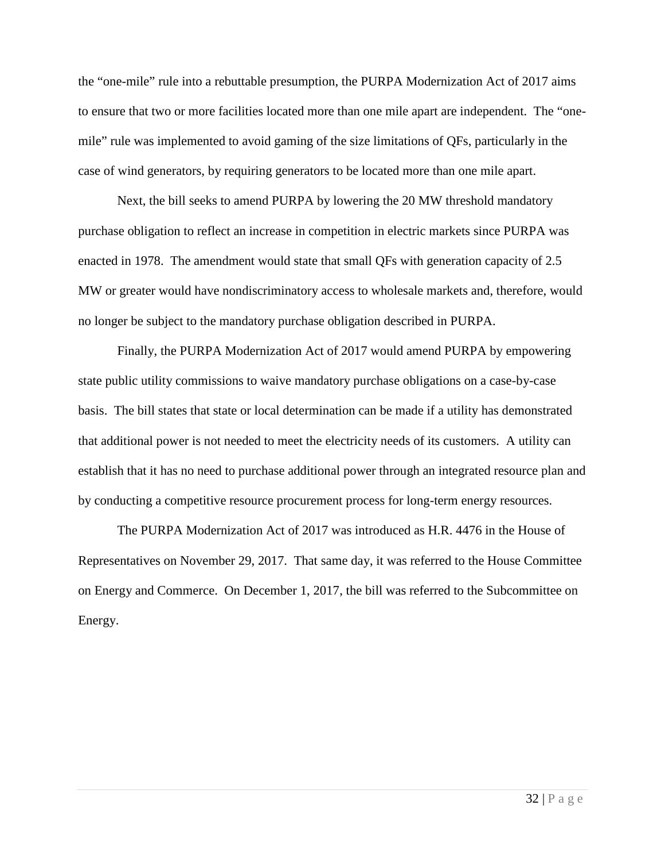the "one-mile" rule into a rebuttable presumption, the PURPA Modernization Act of 2017 aims to ensure that two or more facilities located more than one mile apart are independent. The "onemile" rule was implemented to avoid gaming of the size limitations of QFs, particularly in the case of wind generators, by requiring generators to be located more than one mile apart.

Next, the bill seeks to amend PURPA by lowering the 20 MW threshold mandatory purchase obligation to reflect an increase in competition in electric markets since PURPA was enacted in 1978. The amendment would state that small QFs with generation capacity of 2.5 MW or greater would have nondiscriminatory access to wholesale markets and, therefore, would no longer be subject to the mandatory purchase obligation described in PURPA.

Finally, the PURPA Modernization Act of 2017 would amend PURPA by empowering state public utility commissions to waive mandatory purchase obligations on a case-by-case basis. The bill states that state or local determination can be made if a utility has demonstrated that additional power is not needed to meet the electricity needs of its customers. A utility can establish that it has no need to purchase additional power through an integrated resource plan and by conducting a competitive resource procurement process for long-term energy resources.

The PURPA Modernization Act of 2017 was introduced as H.R. 4476 in the House of Representatives on November 29, 2017. That same day, it was referred to the House Committee on Energy and Commerce. On December 1, 2017, the bill was referred to the Subcommittee on Energy.